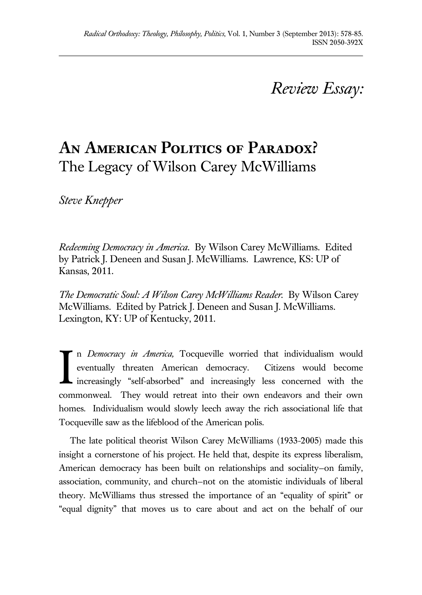## *Review Essay:*

## **An American Politics of Paradox?** The Legacy of Wilson Carey McWilliams

*Steve Knepper*

*Redeeming Democracy in America*. By Wilson Carey McWilliams. Edited by Patrick J. Deneen and Susan J. McWilliams. Lawrence, KS: UP of Kansas, 2011.

*The Democratic Soul: A Wilson Carey McWilliams Reader.* By Wilson Carey McWilliams. Edited by Patrick J. Deneen and Susan J. McWilliams. Lexington, KY: UP of Kentucky, 2011.

n *Democracy in America,* Tocqueville worried that individualism would eventually threaten American democracy. Citizens would become increasingly "self-absorbed" and increasingly less concerned with the commonweal. They would retreat into their own endeavors and their own homes. Individualism would slowly leech away the rich associational life that Tocqueville saw as the lifeblood of the American polis. I

The late political theorist Wilson Carey McWilliams (1933-2005) made this insight a cornerstone of his project. He held that, despite its express liberalism, American democracy has been built on relationships and sociality—on family, association, community, and church—not on the atomistic individuals of liberal theory. McWilliams thus stressed the importance of an "equality of spirit" or "equal dignity" that moves us to care about and act on the behalf of our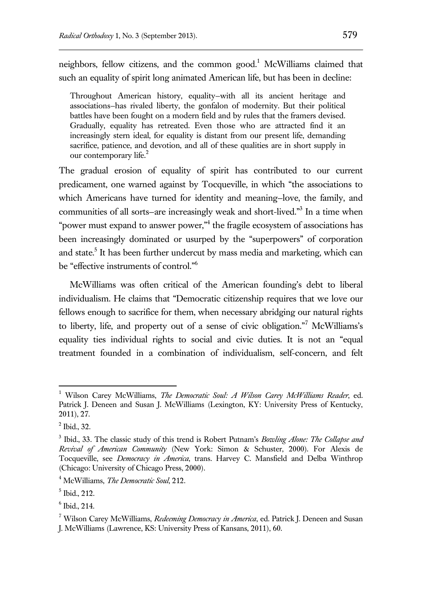neighbors, fellow citizens, and the common good.<sup>1</sup> McWilliams claimed that such an equality of spirit long animated American life, but has been in decline:

Throughout American history, equality—with all its ancient heritage and associations—has rivaled liberty, the gonfalon of modernity. But their political battles have been fought on a modern field and by rules that the framers devised. Gradually, equality has retreated. Even those who are attracted find it an increasingly stern ideal, for equality is distant from our present life, demanding sacrifice, patience, and devotion, and all of these qualities are in short supply in our contemporary life.<sup>2</sup>

The gradual erosion of equality of spirit has contributed to our current predicament, one warned against by Tocqueville, in which "the associations to which Americans have turned for identity and meaning—love, the family, and communities of all sorts–are increasingly weak and short-lived."<sup>3</sup> In a time when "power must expand to answer power," the fragile ecosystem of associations has been increasingly dominated or usurped by the "superpowers" of corporation and state.<sup>5</sup> It has been further undercut by mass media and marketing, which can be "effective instruments of control."<sup>6</sup>

McWilliams was often critical of the American founding's debt to liberal individualism. He claims that "Democratic citizenship requires that we love our fellows enough to sacrifice for them, when necessary abridging our natural rights to liberty, life, and property out of a sense of civic obligation."<sup>7</sup> McWilliams's equality ties individual rights to social and civic duties. It is not an "equal treatment founded in a combination of individualism, self-concern, and felt

<sup>1</sup> Wilson Carey McWilliams, *The Democratic Soul: A Wilson Carey McWilliams Reader*, ed. Patrick J. Deneen and Susan J. McWilliams (Lexington, KY: University Press of Kentucky, 2011), 27.

<sup>2</sup> Ibid., 32.

<sup>3</sup> Ibid., 33. The classic study of this trend is Robert Putnam's *Bowling Alone: The Collapse and Revival of American Community* (New York: Simon & Schuster, 2000). For Alexis de Tocqueville, see *Democracy in America*, trans. Harvey C. Mansfield and Delba Winthrop (Chicago: University of Chicago Press, 2000).

<sup>4</sup> McWilliams, *The Democratic Soul*, 212.

<sup>5</sup> Ibid., 212.

<sup>6</sup> Ibid., 214.

<sup>7</sup> Wilson Carey McWilliams, *Redeeming Democracy in America*, ed. Patrick J. Deneen and Susan J. McWilliams (Lawrence, KS: University Press of Kansans, 2011), 60.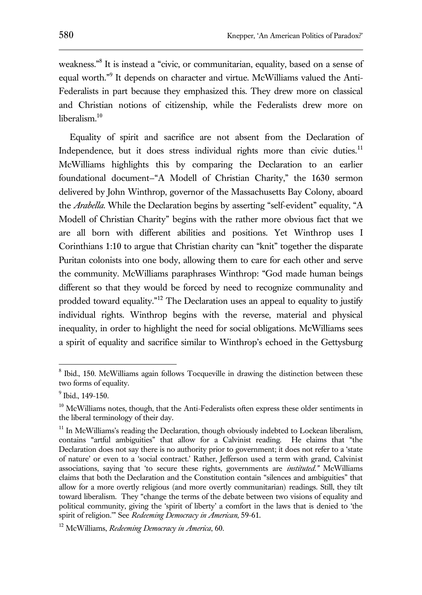weakness."<sup>8</sup> It is instead a "civic, or communitarian, equality, based on a sense of equal worth."<sup>9</sup> It depends on character and virtue. McWilliams valued the Anti-Federalists in part because they emphasized this. They drew more on classical and Christian notions of citizenship, while the Federalists drew more on liberalism. $10$ 

Equality of spirit and sacrifice are not absent from the Declaration of Independence, but it does stress individual rights more than civic duties. $11$ McWilliams highlights this by comparing the Declaration to an earlier foundational document—"A Modell of Christian Charity," the 1630 sermon delivered by John Winthrop, governor of the Massachusetts Bay Colony, aboard the *Arabella*. While the Declaration begins by asserting "self-evident" equality, "A Modell of Christian Charity" begins with the rather more obvious fact that we are all born with different abilities and positions. Yet Winthrop uses I Corinthians 1:10 to argue that Christian charity can "knit" together the disparate Puritan colonists into one body, allowing them to care for each other and serve the community. McWilliams paraphrases Winthrop: "God made human beings different so that they would be forced by need to recognize communality and prodded toward equality.<sup>"12</sup> The Declaration uses an appeal to equality to justify individual rights. Winthrop begins with the reverse, material and physical inequality, in order to highlight the need for social obligations. McWilliams sees a spirit of equality and sacrifice similar to Winthrop's echoed in the Gettysburg

<sup>&</sup>lt;sup>8</sup> Ibid., 150. McWilliams again follows Tocqueville in drawing the distinction between these two forms of equality.

<sup>&</sup>lt;sup>9</sup> Ibid., 149-150.

<sup>&</sup>lt;sup>10</sup> McWilliams notes, though, that the Anti-Federalists often express these older sentiments in the liberal terminology of their day.

 $11$  In McWilliams's reading the Declaration, though obviously indebted to Lockean liberalism, contains "artful ambiguities" that allow for a Calvinist reading. He claims that "the Declaration does not say there is no authority prior to government; it does not refer to a 'state of nature' or even to a 'social contract.' Rather, Jefferson used a term with grand, Calvinist associations, saying that 'to secure these rights, governments are *instituted."* McWilliams claims that both the Declaration and the Constitution contain "silences and ambiguities" that allow for a more overtly religious (and more overtly communitarian) readings. Still, they tilt toward liberalism. They "change the terms of the debate between two visions of equality and political community, giving the 'spirit of liberty' a comfort in the laws that is denied to 'the spirit of religion.'" See *Redeeming Democracy in American*, 59-61.

<sup>12</sup> McWilliams, *Redeeming Democracy in America*, 60.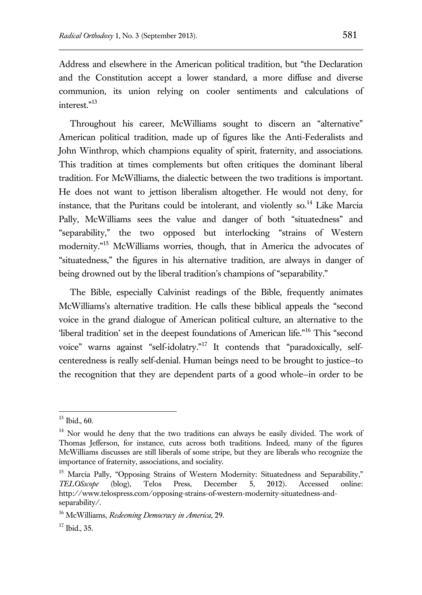Address and elsewhere in the American political tradition, but "the Declaration and the Constitution accept a lower standard, a more diffuse and diverse communion, its union relying on cooler sentiments and calculations of interest."<sup>13</sup>

Throughout his career, McWilliams sought to discern an "alternative" American political tradition, made up of figures like the Anti-Federalists and John Winthrop, which champions equality of spirit, fraternity, and associations. This tradition at times complements but often critiques the dominant liberal tradition. For McWilliams, the dialectic between the two traditions is important. He does not want to jettison liberalism altogether. He would not deny, for instance, that the Puritans could be intolerant, and violently so. $14$  Like Marcia Pally, McWilliams sees the value and danger of both "situatedness" and "separability," the two opposed but interlocking "strains of Western modernity."<sup>15</sup> McWilliams worries, though, that in America the advocates of "situatedness," the figures in his alternative tradition, are always in danger of being drowned out by the liberal tradition's champions of "separability."

The Bible, especially Calvinist readings of the Bible, frequently animates McWilliams's alternative tradition. He calls these biblical appeals the "second voice in the grand dialogue of American political culture, an alternative to the 'liberal tradition' set in the deepest foundations of American life."<sup>16</sup> This "second voice" warns against "self-idolatry."<sup>17</sup> It contends that "paradoxically, selfcenteredness is really self-denial. Human beings need to be brought to justice—to the recognition that they are dependent parts of a good whole—in order to be

 $13$  Ibid., 60.

<sup>&</sup>lt;sup>14</sup> Nor would he deny that the two traditions can always be easily divided. The work of Thomas Jefferson, for instance, cuts across both traditions. Indeed, many of the figures McWilliams discusses are still liberals of some stripe, but they are liberals who recognize the importance of fraternity, associations, and sociality.

<sup>&</sup>lt;sup>15</sup> Marcia Pally, "Opposing Strains of Western Modernity: Situatedness and Separability," *TELOSscope* (blog), Telos Press, December 5, 2012). Accessed online: http://www.telospress.com/opposing-strains-of-western-modernity-situatedness-andseparability/.

<sup>16</sup> McWilliams, *Redeeming Democracy in America*, 29.

 $17$  Ibid., 35.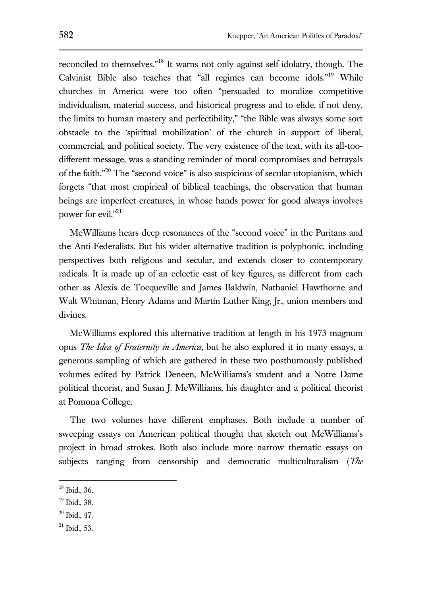reconciled to themselves."<sup>18</sup> It warns not only against self-idolatry, though. The Calvinist Bible also teaches that "all regimes can become idols."<sup>19</sup> While churches in America were too often "persuaded to moralize competitive individualism, material success, and historical progress and to elide, if not deny, the limits to human mastery and perfectibility," "the Bible was always some sort obstacle to the 'spiritual mobilization' of the church in support of liberal, commercial, and political society. The very existence of the text, with its all-toodifferent message, was a standing reminder of moral compromises and betrayals of the faith."<sup>20</sup> The "second voice" is also suspicious of secular utopianism, which forgets "that most empirical of biblical teachings, the observation that human beings are imperfect creatures, in whose hands power for good always involves power for evil."<sup>21</sup>

McWilliams hears deep resonances of the "second voice" in the Puritans and the Anti-Federalists. But his wider alternative tradition is polyphonic, including perspectives both religious and secular, and extends closer to contemporary radicals. It is made up of an eclectic cast of key figures, as different from each other as Alexis de Tocqueville and James Baldwin, Nathaniel Hawthorne and Walt Whitman, Henry Adams and Martin Luther King, Jr., union members and divines.

McWilliams explored this alternative tradition at length in his 1973 magnum opus *The Idea of Fraternity in America*, but he also explored it in many essays, a generous sampling of which are gathered in these two posthumously published volumes edited by Patrick Deneen, McWilliams's student and a Notre Dame political theorist, and Susan J. McWilliams, his daughter and a political theorist at Pomona College.

The two volumes have different emphases. Both include a number of sweeping essays on American political thought that sketch out McWilliams's project in broad strokes. Both also include more narrow thematic essays on subjects ranging from censorship and democratic multiculturalism (*The* 

 $\overline{a}$ 

<sup>21</sup> Ibid., 53.

<sup>18</sup> Ibid., 36.

<sup>19</sup> Ibid., 38.

 $20$  Ibid., 47.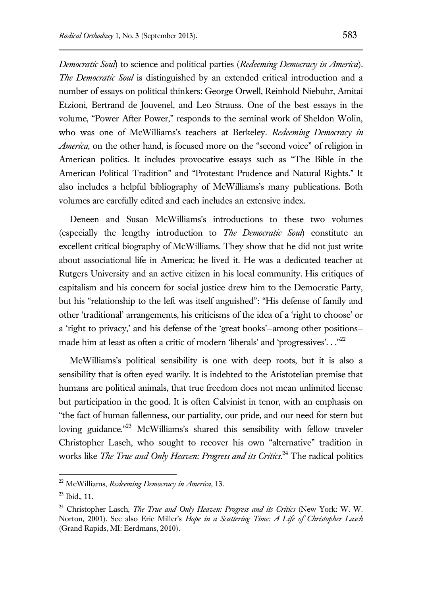*Democratic Soul*) to science and political parties (*Redeeming Democracy in America*). *The Democratic Soul* is distinguished by an extended critical introduction and a number of essays on political thinkers: George Orwell, Reinhold Niebuhr, Amitai Etzioni, Bertrand de Jouvenel, and Leo Strauss. One of the best essays in the volume, "Power After Power," responds to the seminal work of Sheldon Wolin, who was one of McWilliams's teachers at Berkeley. *Redeeming Democracy in America*, on the other hand, is focused more on the "second voice" of religion in American politics. It includes provocative essays such as "The Bible in the American Political Tradition" and "Protestant Prudence and Natural Rights." It also includes a helpful bibliography of McWilliams's many publications. Both volumes are carefully edited and each includes an extensive index.

Deneen and Susan McWilliams's introductions to these two volumes (especially the lengthy introduction to *The Democratic Soul*) constitute an excellent critical biography of McWilliams. They show that he did not just write about associational life in America; he lived it. He was a dedicated teacher at Rutgers University and an active citizen in his local community. His critiques of capitalism and his concern for social justice drew him to the Democratic Party, but his "relationship to the left was itself anguished": "His defense of family and other 'traditional' arrangements, his criticisms of the idea of a 'right to choose' or a 'right to privacy,' and his defense of the 'great books'—among other positions made him at least as often a critic of modern 'liberals' and 'progressives'. . ."<sup>22</sup>

McWilliams's political sensibility is one with deep roots, but it is also a sensibility that is often eyed warily. It is indebted to the Aristotelian premise that humans are political animals, that true freedom does not mean unlimited license but participation in the good. It is often Calvinist in tenor, with an emphasis on "the fact of human fallenness, our partiality, our pride, and our need for stern but loving guidance."<sup>23</sup> McWilliams's shared this sensibility with fellow traveler Christopher Lasch, who sought to recover his own "alternative" tradition in works like *The True and Only Heaven: Progress and its Critics*. <sup>24</sup> The radical politics

<sup>22</sup> McWilliams, *Redeeming Democracy in America*, 13.

<sup>23</sup> Ibid., 11.

<sup>24</sup> Christopher Lasch, *The True and Only Heaven: Progress and its Critics* (New York: W. W. Norton, 2001). See also Eric Miller's *Hope in a Scattering Time: A Life of Christopher Lasch* (Grand Rapids, MI: Eerdmans, 2010).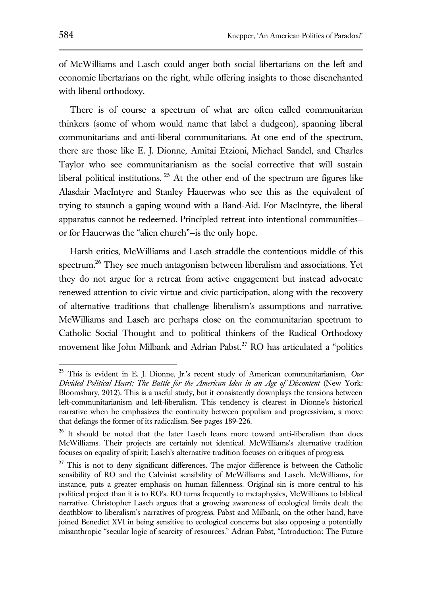of McWilliams and Lasch could anger both social libertarians on the left and economic libertarians on the right, while offering insights to those disenchanted with liberal orthodoxy.

There is of course a spectrum of what are often called communitarian thinkers (some of whom would name that label a dudgeon), spanning liberal communitarians and anti-liberal communitarians. At one end of the spectrum, there are those like E. J. Dionne, Amitai Etzioni, Michael Sandel, and Charles Taylor who see communitarianism as the social corrective that will sustain liberal political institutions.  $25$  At the other end of the spectrum are figures like Alasdair MacIntyre and Stanley Hauerwas who see this as the equivalent of trying to staunch a gaping wound with a Band-Aid. For MacIntyre, the liberal apparatus cannot be redeemed. Principled retreat into intentional communities or for Hauerwas the "alien church"—is the only hope.

Harsh critics, McWilliams and Lasch straddle the contentious middle of this spectrum.<sup>26</sup> They see much antagonism between liberalism and associations. Yet they do not argue for a retreat from active engagement but instead advocate renewed attention to civic virtue and civic participation, along with the recovery of alternative traditions that challenge liberalism's assumptions and narrative. McWilliams and Lasch are perhaps close on the communitarian spectrum to Catholic Social Thought and to political thinkers of the Radical Orthodoxy movement like John Milbank and Adrian Pabst.<sup>27</sup> RO has articulated a "politics"

<sup>25</sup> This is evident in E. J. Dionne, Jr.'s recent study of American communitarianism, *Our Divided Political Heart: The Battle for the American Idea in an Age of Discontent* (New York: Bloomsbury, 2012)*.* This is a useful study, but it consistently downplays the tensions between left-communitarianism and left-liberalism. This tendency is clearest in Dionne's historical narrative when he emphasizes the continuity between populism and progressivism, a move that defangs the former of its radicalism. See pages 189-226.

<sup>&</sup>lt;sup>26</sup> It should be noted that the later Lasch leans more toward anti-liberalism than does McWilliams. Their projects are certainly not identical. McWilliams's alternative tradition focuses on equality of spirit; Lasch's alternative tradition focuses on critiques of progress.

<sup>&</sup>lt;sup>27</sup> This is not to deny significant differences. The major difference is between the Catholic sensibility of RO and the Calvinist sensibility of McWilliams and Lasch. McWilliams, for instance, puts a greater emphasis on human fallenness. Original sin is more central to his political project than it is to RO's. RO turns frequently to metaphysics, McWilliams to biblical narrative. Christopher Lasch argues that a growing awareness of ecological limits dealt the deathblow to liberalism's narratives of progress. Pabst and Milbank, on the other hand, have joined Benedict XVI in being sensitive to ecological concerns but also opposing a potentially misanthropic "secular logic of scarcity of resources." Adrian Pabst, "Introduction: The Future